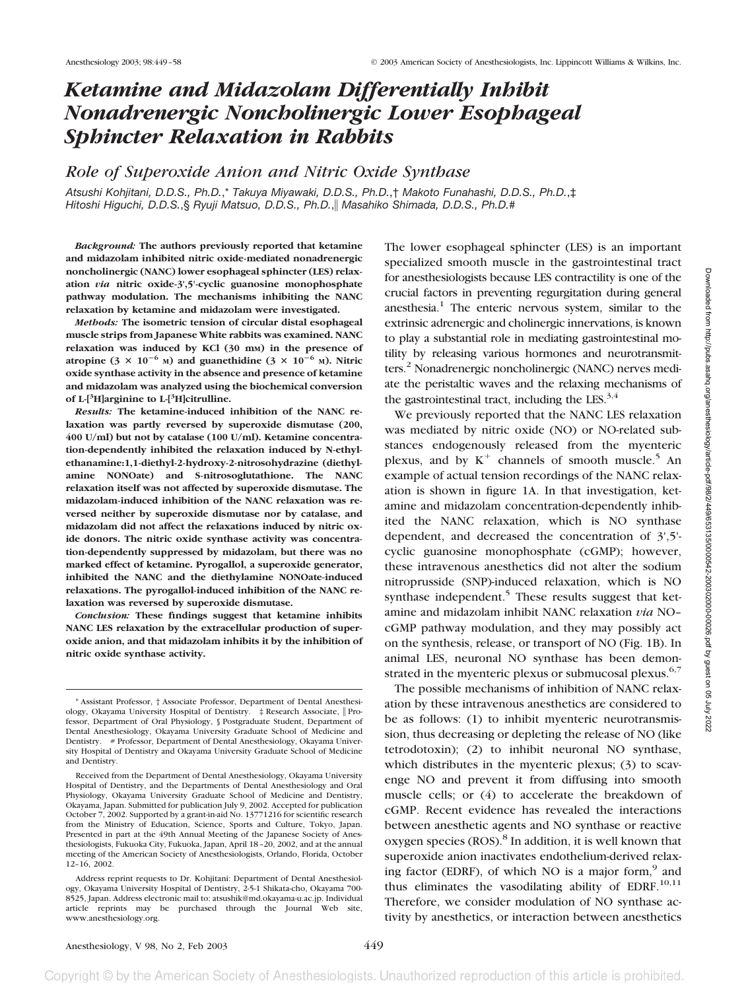# *Ketamine and Midazolam Differentially Inhibit Nonadrenergic Noncholinergic Lower Esophageal Sphincter Relaxation in Rabbits*

# *Role of Superoxide Anion and Nitric Oxide Synthase*

*Atsushi Kohjitani, D.D.S., Ph.D.*,\* *Takuya Miyawaki, D.D.S., Ph.D.*,† *Makoto Funahashi, D.D.S., Ph.D.*,‡ *Hitoshi Higuchi, D.D.S.*,§ *Ryuji Matsuo, D.D.S., Ph.D.*, *Masahiko Shimada, D.D.S., Ph.D.*#

*Background:* **The authors previously reported that ketamine and midazolam inhibited nitric oxide-mediated nonadrenergic noncholinergic (NANC) lower esophageal sphincter (LES) relaxation** *via* **nitric oxide-3',5'-cyclic guanosine monophosphate pathway modulation. The mechanisms inhibiting the NANC relaxation by ketamine and midazolam were investigated.**

*Methods:* **The isometric tension of circular distal esophageal muscle strips from Japanese White rabbits was examined. NANC relaxation was induced by KCl (30 mM) in the presence of** atropine  $(3 \times 10^{-6} \text{ M})$  and guanethidine  $(3 \times 10^{-6} \text{ M})$ . Nitric **oxide synthase activity in the absence and presence of ketamine and midazolam was analyzed using the biochemical conversion of L-[<sup>3</sup> H]arginine to L-[3 H]citrulline.**

*Results:* **The ketamine-induced inhibition of the NANC relaxation was partly reversed by superoxide dismutase (200, 400 U/ml) but not by catalase (100 U/ml). Ketamine concentration-dependently inhibited the relaxation induced by N-ethylethanamine:1,1-diethyl-2-hydroxy-2-nitrosohydrazine (diethylamine NONOate) and S-nitrosoglutathione. The NANC relaxation itself was not affected by superoxide dismutase. The midazolam-induced inhibition of the NANC relaxation was reversed neither by superoxide dismutase nor by catalase, and midazolam did not affect the relaxations induced by nitric oxide donors. The nitric oxide synthase activity was concentration-dependently suppressed by midazolam, but there was no marked effect of ketamine. Pyrogallol, a superoxide generator, inhibited the NANC and the diethylamine NONOate-induced relaxations. The pyrogallol-induced inhibition of the NANC relaxation was reversed by superoxide dismutase.**

*Conclusion:* **These findings suggest that ketamine inhibits NANC LES relaxation by the extracellular production of superoxide anion, and that midazolam inhibits it by the inhibition of nitric oxide synthase activity.**

The lower esophageal sphincter (LES) is an important specialized smooth muscle in the gastrointestinal tract for anesthesiologists because LES contractility is one of the crucial factors in preventing regurgitation during general anesthesia.<sup>1</sup> The enteric nervous system, similar to the extrinsic adrenergic and cholinergic innervations, is known to play a substantial role in mediating gastrointestinal motility by releasing various hormones and neurotransmitters.<sup>2</sup> Nonadrenergic noncholinergic (NANC) nerves mediate the peristaltic waves and the relaxing mechanisms of the gastrointestinal tract, including the LES. $^{3,4}$ 

We previously reported that the NANC LES relaxation was mediated by nitric oxide (NO) or NO-related substances endogenously released from the myenteric plexus, and by  $K^+$  channels of smooth muscle.<sup>5</sup> An example of actual tension recordings of the NANC relaxation is shown in figure 1A. In that investigation, ketamine and midazolam concentration-dependently inhibited the NANC relaxation, which is NO synthase dependent, and decreased the concentration of 3',5' cyclic guanosine monophosphate (cGMP); however, these intravenous anesthetics did not alter the sodium nitroprusside (SNP)-induced relaxation, which is NO synthase independent.<sup>5</sup> These results suggest that ketamine and midazolam inhibit NANC relaxation *via* NO– cGMP pathway modulation, and they may possibly act on the synthesis, release, or transport of NO (Fig. 1B). In animal LES, neuronal NO synthase has been demonstrated in the myenteric plexus or submucosal plexus.<sup>6,7</sup>

The possible mechanisms of inhibition of NANC relaxation by these intravenous anesthetics are considered to be as follows: (1) to inhibit myenteric neurotransmission, thus decreasing or depleting the release of NO (like tetrodotoxin); (2) to inhibit neuronal NO synthase, which distributes in the myenteric plexus; (3) to scavenge NO and prevent it from diffusing into smooth muscle cells; or (4) to accelerate the breakdown of cGMP. Recent evidence has revealed the interactions between anesthetic agents and NO synthase or reactive oxygen species (ROS).<sup>8</sup> In addition, it is well known that superoxide anion inactivates endothelium-derived relaxing factor (EDRF), of which NO is a major form,<sup>9</sup> and thus eliminates the vasodilating ability of EDRF. $^{10,11}$ Therefore, we consider modulation of NO synthase activity by anesthetics, or interaction between anesthetics

<sup>\*</sup> Assistant Professor, † Associate Professor, Department of Dental Anesthesiology, Okayama University Hospital of Dentistry.  $\#$  Research Associate, Professor, Department of Oral Physiology, § Postgraduate Student, Department of Dental Anesthesiology, Okayama University Graduate School of Medicine and Dentistry. # Professor, Department of Dental Anesthesiology, Okayama University Hospital of Dentistry and Okayama University Graduate School of Medicine and Dentistry.

Received from the Department of Dental Anesthesiology, Okayama University Hospital of Dentistry, and the Departments of Dental Anesthesiology and Oral Physiology, Okayama University Graduate School of Medicine and Dentistry, Okayama, Japan. Submitted for publication July 9, 2002. Accepted for publication October 7, 2002. Supported by a grant-in-aid No. 13771216 for scientific research from the Ministry of Education, Science, Sports and Culture, Tokyo, Japan. Presented in part at the 49th Annual Meeting of the Japanese Society of Anesthesiologists, Fukuoka City, Fukuoka, Japan, April 18–20, 2002, and at the annual meeting of the American Society of Anesthesiologists, Orlando, Florida, October 12–16, 2002.

Address reprint requests to Dr. Kohjitani: Department of Dental Anesthesiology, Okayama University Hospital of Dentistry, 2-5-1 Shikata-cho, Okayama 700- 8525, Japan. Address electronic mail to: atsushik@md.okayama-u.ac.jp. Individual article reprints may be purchased through the Journal Web site, www.anesthesiology.org.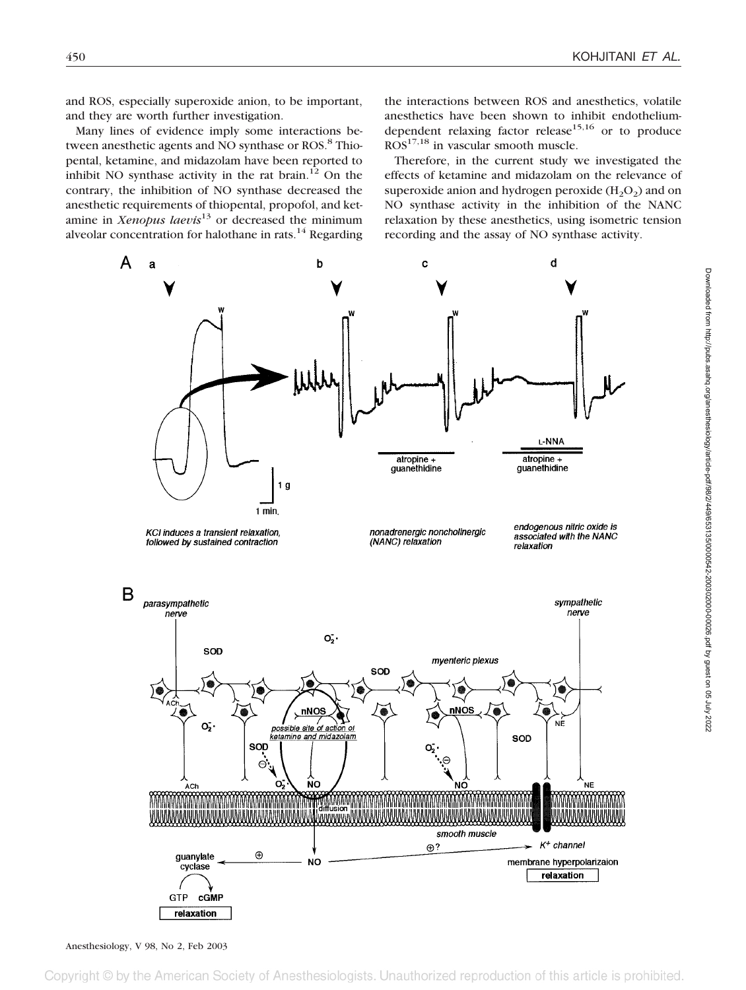and ROS, especially superoxide anion, to be important, and they are worth further investigation.

Many lines of evidence imply some interactions between anesthetic agents and NO synthase or ROS.<sup>8</sup> Thiopental, ketamine, and midazolam have been reported to inhibit NO synthase activity in the rat brain. $^{12}$  On the contrary, the inhibition of NO synthase decreased the anesthetic requirements of thiopental, propofol, and ketamine in *Xenopus laevis*<sup>13</sup> or decreased the minimum alveolar concentration for halothane in rats.<sup>14</sup> Regarding

the interactions between ROS and anesthetics, volatile anesthetics have been shown to inhibit endotheliumdependent relaxing factor release  $15,16$  or to produce  $ROS<sup>17,18</sup>$  in vascular smooth muscle.

Therefore, in the current study we investigated the effects of ketamine and midazolam on the relevance of superoxide anion and hydrogen peroxide  $(H_2O_2)$  and on NO synthase activity in the inhibition of the NANC relaxation by these anesthetics, using isometric tension recording and the assay of NO synthase activity.

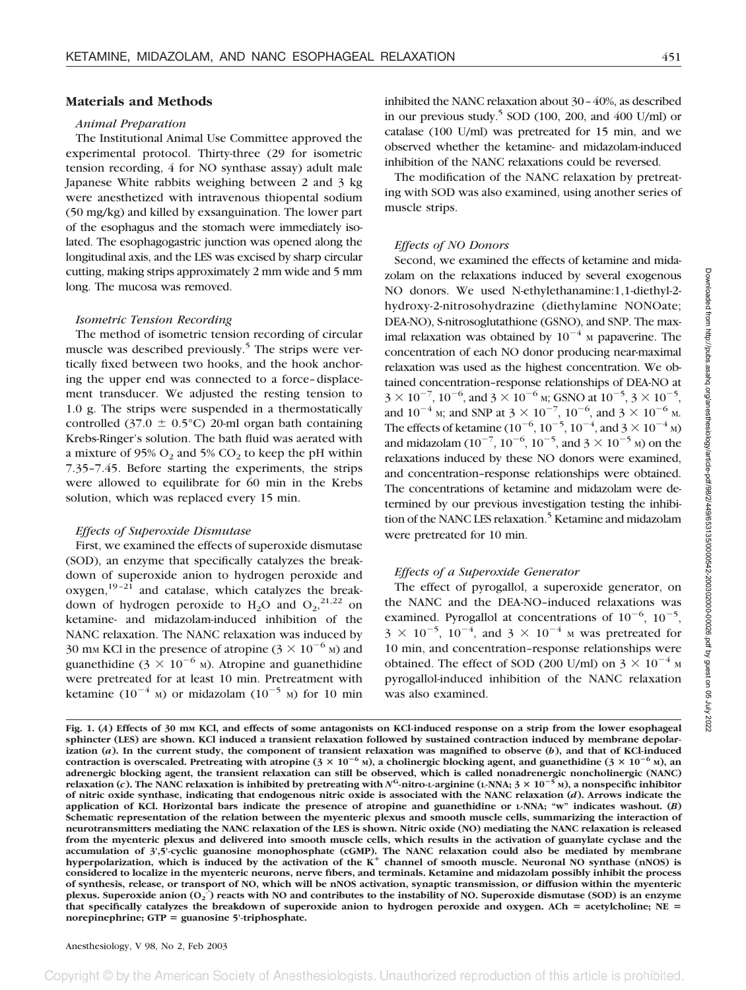# **Materials and Methods**

## *Animal Preparation*

The Institutional Animal Use Committee approved the experimental protocol. Thirty-three (29 for isometric tension recording, 4 for NO synthase assay) adult male Japanese White rabbits weighing between 2 and 3 kg were anesthetized with intravenous thiopental sodium (50 mg/kg) and killed by exsanguination. The lower part of the esophagus and the stomach were immediately isolated. The esophagogastric junction was opened along the longitudinal axis, and the LES was excised by sharp circular cutting, making strips approximately 2 mm wide and 5 mm long. The mucosa was removed.

## *Isometric Tension Recording*

The method of isometric tension recording of circular muscle was described previously.<sup>5</sup> The strips were vertically fixed between two hooks, and the hook anchoring the upper end was connected to a force–displacement transducer. We adjusted the resting tension to 1.0 g. The strips were suspended in a thermostatically controlled (37.0  $\pm$  0.5°C) 20-ml organ bath containing Krebs-Ringer's solution. The bath fluid was aerated with a mixture of 95%  $O_2$  and 5%  $CO_2$  to keep the pH within 7.35–7.45. Before starting the experiments, the strips were allowed to equilibrate for 60 min in the Krebs solution, which was replaced every 15 min.

## *Effects of Superoxide Dismutase*

First, we examined the effects of superoxide dismutase (SOD), an enzyme that specifically catalyzes the breakdown of superoxide anion to hydrogen peroxide and  $oxygen$ ,<sup>19-21</sup> and catalase, which catalyzes the breakdown of hydrogen peroxide to  $H_2O$  and  $O_2$ ,<sup>21,22</sup> on ketamine- and midazolam-induced inhibition of the NANC relaxation. The NANC relaxation was induced by 30 mm KCl in the presence of atropine ( $3 \times 10^{-6}$  M) and guanethidine ( $3 \times 10^{-6}$  M). Atropine and guanethidine were pretreated for at least 10 min. Pretreatment with ketamine (10<sup>-4</sup> M) or midazolam (10<sup>-5</sup> M) for 10 min

inhibited the NANC relaxation about 30–40%, as described in our previous study.<sup>5</sup> SOD (100, 200, and 400 U/ml) or catalase (100 U/ml) was pretreated for 15 min, and we observed whether the ketamine- and midazolam-induced inhibition of the NANC relaxations could be reversed.

The modification of the NANC relaxation by pretreating with SOD was also examined, using another series of muscle strips.

## *Effects of NO Donors*

Second, we examined the effects of ketamine and midazolam on the relaxations induced by several exogenous NO donors. We used N-ethylethanamine:1,1-diethyl-2 hydroxy-2-nitrosohydrazine (diethylamine NONOate; DEA-NO), S-nitrosoglutathione (GSNO), and SNP. The maximal relaxation was obtained by  $10^{-4}$  M papaverine. The concentration of each NO donor producing near-maximal relaxation was used as the highest concentration. We obtained concentration–response relationships of DEA-NO at  $3 \times 10^{-7}$ ,  $10^{-6}$ , and  $3 \times 10^{-6}$  M; GSNO at  $10^{-5}$ ,  $3 \times 10^{-5}$ , and  $10^{-4}$  M; and SNP at  $3 \times 10^{-7}$ ,  $10^{-6}$ , and  $3 \times 10^{-6}$  M. The effects of ketamine ( $10^{-6}$ ,  $10^{-5}$ ,  $10^{-4}$ , and  $3 \times 10^{-4}$  M) and midazolam ( $10^{-7}$ ,  $10^{-6}$ ,  $10^{-5}$ , and  $3 \times 10^{-5}$  M) on the relaxations induced by these NO donors were examined, and concentration–response relationships were obtained. The concentrations of ketamine and midazolam were determined by our previous investigation testing the inhibition of the NANC LES relaxation.<sup>5</sup> Ketamine and midazolam were pretreated for 10 min.

## *Effects of a Superoxide Generator*

The effect of pyrogallol, a superoxide generator, on the NANC and the DEA-NO–induced relaxations was examined. Pyrogallol at concentrations of  $10^{-6}$ ,  $10^{-5}$ ,  $3 \times 10^{-5}$ ,  $10^{-4}$ , and  $3 \times 10^{-4}$  M was pretreated for 10 min, and concentration–response relationships were obtained. The effect of SOD (200 U/ml) on  $3 \times 10^{-4}$  M pyrogallol-induced inhibition of the NANC relaxation was also examined.

Anesthesiology, V 98, No 2, Feb 2003

**Fig. 1. (***A***) Effects of 30 mM KCl, and effects of some antagonists on KCl-induced response on a strip from the lower esophageal sphincter (LES) are shown. KCl induced a transient relaxation followed by sustained contraction induced by membrane depolarization (***a***). In the current study, the component of transient relaxation was magnified to observe (***b***), and that of KCl-induced** contraction is overscaled. Pretreating with atropine  $(3 \times 10^{-6}$  M), a cholinergic blocking agent, and guanethidine  $(3 \times 10^{-6}$  M), an **adrenergic blocking agent, the transient relaxation can still be observed, which is called nonadrenergic noncholinergic (NANC)**  $r$ elaxation (*c*). The NANC relaxation is inhibited by pretreating with  $N^G$ -nitro-L-arginine (L-NNA;  $3\times10^{-5}$  M), a nonspecific inhibitor **of nitric oxide synthase, indicating that endogenous nitric oxide is associated with the NANC relaxation (***d***). Arrows indicate the application of KCl. Horizontal bars indicate the presence of atropine and guanethidine or L-NNA; "w" indicates washout. (***B***) Schematic representation of the relation between the myenteric plexus and smooth muscle cells, summarizing the interaction of neurotransmitters mediating the NANC relaxation of the LES is shown. Nitric oxide (NO) mediating the NANC relaxation is released from the myenteric plexus and delivered into smooth muscle cells, which results in the activation of guanylate cyclase and the** accumulation of 3',5'-cyclic guanosine monophosphate (cGMP). The NANC relaxation could also be mediated by membrane<br>hyperpolarization, which is induced by the activation of the K<sup>+</sup> channel of smooth muscle. Neuronal NO sy **considered to localize in the myenteric neurons, nerve fibers, and terminals. Ketamine and midazolam possibly inhibit the process of synthesis, release, or transport of NO, which will be nNOS activation, synaptic transmission, or diffusion within the myenteric** plexus. Superoxide anion (O<sub>2</sub><sup>-</sup>) reacts with NO and contributes to the instability of NO. Superoxide dismutase (SOD) is an enzyme that specifically catalyzes the breakdown of superoxide anion to hydrogen peroxide and oxygen. ACh = acetylcholine; NE = **norepinephrine; GTP guanosine 5'-triphosphate.**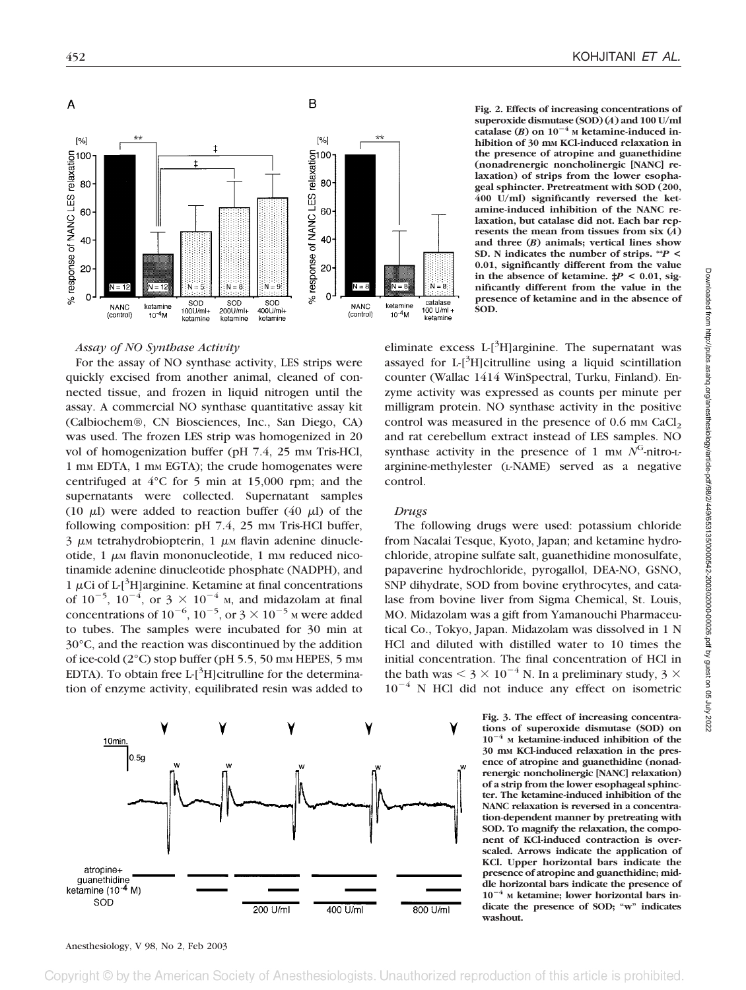

**Fig. 2. Effects of increasing concentrations of superoxide dismutase (SOD) (***A***) and 100 U/ml catalase (***B***) on 10**-**<sup>4</sup> <sup>M</sup> ketamine-induced inhibition of 30 mM KCl-induced relaxation in the presence of atropine and guanethidine (nonadrenergic noncholinergic [NANC] relaxation) of strips from the lower esophageal sphincter. Pretreatment with SOD (200, 400 U/ml) significantly reversed the ketamine-induced inhibition of the NANC relaxation, but catalase did not. Each bar represents the mean from tissues from six (***A***) and three (***B***) animals; vertical lines show SD. N indicates the number of strips. \*\****P* **< 0.01, significantly different from the value** in the absence of ketamine.  $\sharp P < 0.01$ , sig**nificantly different from the value in the presence of ketamine and in the absence of SOD.**

*Assay of NO Synthase Activity*

For the assay of NO synthase activity, LES strips were quickly excised from another animal, cleaned of connected tissue, and frozen in liquid nitrogen until the assay. A commercial NO synthase quantitative assay kit (Calbiochem®, CN Biosciences, Inc., San Diego, CA) was used. The frozen LES strip was homogenized in 20 vol of homogenization buffer (pH  $7.4$ , 25 mm Tris-HCl, 1 mm EDTA, 1 mm EGTA); the crude homogenates were centrifuged at 4°C for 5 min at 15,000 rpm; and the supernatants were collected. Supernatant samples (10  $\mu$ I) were added to reaction buffer (40  $\mu$ I) of the following composition:  $pH$  7.4, 25 mm Tris-HCl buffer,  $3 \mu$ M tetrahydrobiopterin, 1  $\mu$ M flavin adenine dinucleotide,  $1 \mu$ M flavin mononucleotide,  $1 \mu$ M reduced nicotinamide adenine dinucleotide phosphate (NADPH), and  $1 \mu$ Ci of L-[<sup>3</sup>H]arginine. Ketamine at final concentrations of  $10^{-5}$ ,  $10^{-4}$ , or  $3 \times 10^{-4}$  M, and midazolam at final concentrations of  $10^{-6}$ ,  $10^{-5}$ , or  $3 \times 10^{-5}$  M were added to tubes. The samples were incubated for 30 min at 30°C, and the reaction was discontinued by the addition of ice-cold  $(2^{\circ}C)$  stop buffer (pH 5.5, 50 mm HEPES, 5 mm EDTA). To obtain free L- $[^3H]$ citrulline for the determination of enzyme activity, equilibrated resin was added to



eliminate excess  $L$ <sup>3</sup>H]arginine. The supernatant was assayed for  $L[^{3}H]$ citrulline using a liquid scintillation counter (Wallac 1414 WinSpectral, Turku, Finland). Enzyme activity was expressed as counts per minute per milligram protein. NO synthase activity in the positive control was measured in the presence of  $0.6$  mm CaCl<sub>2</sub> and rat cerebellum extract instead of LES samples. NO synthase activity in the presence of 1 mm  $N<sup>G</sup>$ -nitro-Larginine-methylester (L-NAME) served as a negative control.

## *Drugs*

The following drugs were used: potassium chloride from Nacalai Tesque, Kyoto, Japan; and ketamine hydrochloride, atropine sulfate salt, guanethidine monosulfate, papaverine hydrochloride, pyrogallol, DEA-NO, GSNO, SNP dihydrate, SOD from bovine erythrocytes, and catalase from bovine liver from Sigma Chemical, St. Louis, MO. Midazolam was a gift from Yamanouchi Pharmaceutical Co., Tokyo, Japan. Midazolam was dissolved in 1 N HCl and diluted with distilled water to 10 times the initial concentration. The final concentration of HCl in the bath was  $<$  3  $\times$  10<sup>-4</sup> N. In a preliminary study, 3  $\times$  $10^{-4}$  N HCl did not induce any effect on isometric

> **Fig. 3. The effect of increasing concentrations of superoxide dismutase (SOD) on 10**-**<sup>4</sup> <sup>M</sup> ketamine-induced inhibition of the 30 mM KCl-induced relaxation in the presence of atropine and guanethidine (nonadrenergic noncholinergic [NANC] relaxation) of a strip from the lower esophageal sphincter. The ketamine-induced inhibition of the NANC relaxation is reversed in a concentration-dependent manner by pretreating with SOD. To magnify the relaxation, the component of KCl-induced contraction is overscaled. Arrows indicate the application of KCl. Upper horizontal bars indicate the presence of atropine and guanethidine; middle horizontal bars indicate the presence of 10**-**<sup>4</sup> <sup>M</sup> ketamine; lower horizontal bars indicate the presence of SOD; "w" indicates washout.**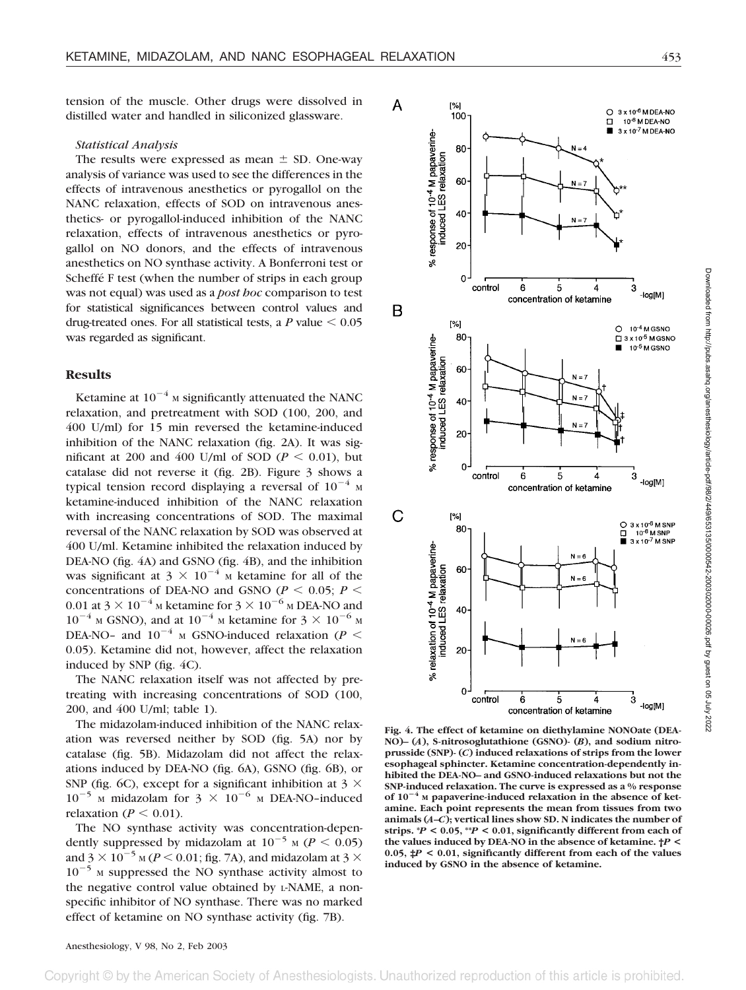tension of the muscle. Other drugs were dissolved in distilled water and handled in siliconized glassware.

#### *Statistical Analysis*

The results were expressed as mean  $\pm$  SD. One-way analysis of variance was used to see the differences in the effects of intravenous anesthetics or pyrogallol on the NANC relaxation, effects of SOD on intravenous anesthetics- or pyrogallol-induced inhibition of the NANC relaxation, effects of intravenous anesthetics or pyrogallol on NO donors, and the effects of intravenous anesthetics on NO synthase activity. A Bonferroni test or Scheffé F test (when the number of strips in each group was not equal) was used as a *post hoc* comparison to test for statistical significances between control values and drug-treated ones. For all statistical tests, a  $P$  value  $\leq 0.05$ was regarded as significant.

#### **Results**

Ketamine at  $10^{-4}$  M significantly attenuated the NANC relaxation, and pretreatment with SOD (100, 200, and 400 U/ml) for 15 min reversed the ketamine-induced inhibition of the NANC relaxation (fig. 2A). It was significant at 200 and 400 U/ml of SOD ( $P < 0.01$ ), but catalase did not reverse it (fig. 2B). Figure 3 shows a typical tension record displaying a reversal of  $10^{-4}$  M ketamine-induced inhibition of the NANC relaxation with increasing concentrations of SOD. The maximal reversal of the NANC relaxation by SOD was observed at 400 U/ml. Ketamine inhibited the relaxation induced by DEA-NO (fig. 4A) and GSNO (fig. 4B), and the inhibition was significant at  $3 \times 10^{-4}$  M ketamine for all of the concentrations of DEA-NO and GSNO ( $P < 0.05$ ;  $P <$ 0.01 at 3  $\times$  10<sup>-4</sup> M ketamine for 3  $\times$  10<sup>-6</sup> M DEA-NO and  $10^{-4}$  M GSNO), and at  $10^{-4}$  M ketamine for  $3 \times 10^{-6}$  M DEA-NO- and  $10^{-4}$  M GSNO-induced relaxation (*P* < 0.05). Ketamine did not, however, affect the relaxation induced by SNP (fig. 4C).

The NANC relaxation itself was not affected by pretreating with increasing concentrations of SOD (100, 200, and 400 U/ml; table 1).

The midazolam-induced inhibition of the NANC relaxation was reversed neither by SOD (fig. 5A) nor by catalase (fig. 5B). Midazolam did not affect the relaxations induced by DEA-NO (fig. 6A), GSNO (fig. 6B), or SNP (fig. 6C), except for a significant inhibition at  $3 \times$  $10^{-5}$  M midazolam for  $3 \times 10^{-6}$  M DEA-NO-induced relaxation ( $P \leq 0.01$ ).

The NO synthase activity was concentration-dependently suppressed by midazolam at  $10^{-5}$  M ( $P < 0.05$ ) and  $3 \times 10^{-5}$  M (*P* < 0.01; fig. 7A), and midazolam at 3  $\times$  $10^{-5}$  M suppressed the NO synthase activity almost to the negative control value obtained by L-NAME, a nonspecific inhibitor of NO synthase. There was no marked effect of ketamine on NO synthase activity (fig. 7B).



**Fig. 4. The effect of ketamine on diethylamine NONOate (DEA-NO)– (***A***), S-nitrosoglutathione (GSNO)- (***B***), and sodium nitroprusside (SNP)- (***C***) induced relaxations of strips from the lower esophageal sphincter. Ketamine concentration-dependently inhibited the DEA-NO– and GSNO-induced relaxations but not the SNP-induced relaxation. The curve is expressed as a % response of 10**-**<sup>4</sup> <sup>M</sup> papaverine-induced relaxation in the absence of ketamine. Each point represents the mean from tissues from two animals (***A–C***); vertical lines show SD. N indicates the number of strips. \****P* **< 0.05, \*\****P* **< 0.01, significantly different from each of the values induced by DEA-NO in the absence of ketamine. †***P* **< 0.05, ‡***P* **< 0.01, significantly different from each of the values induced by GSNO in the absence of ketamine.**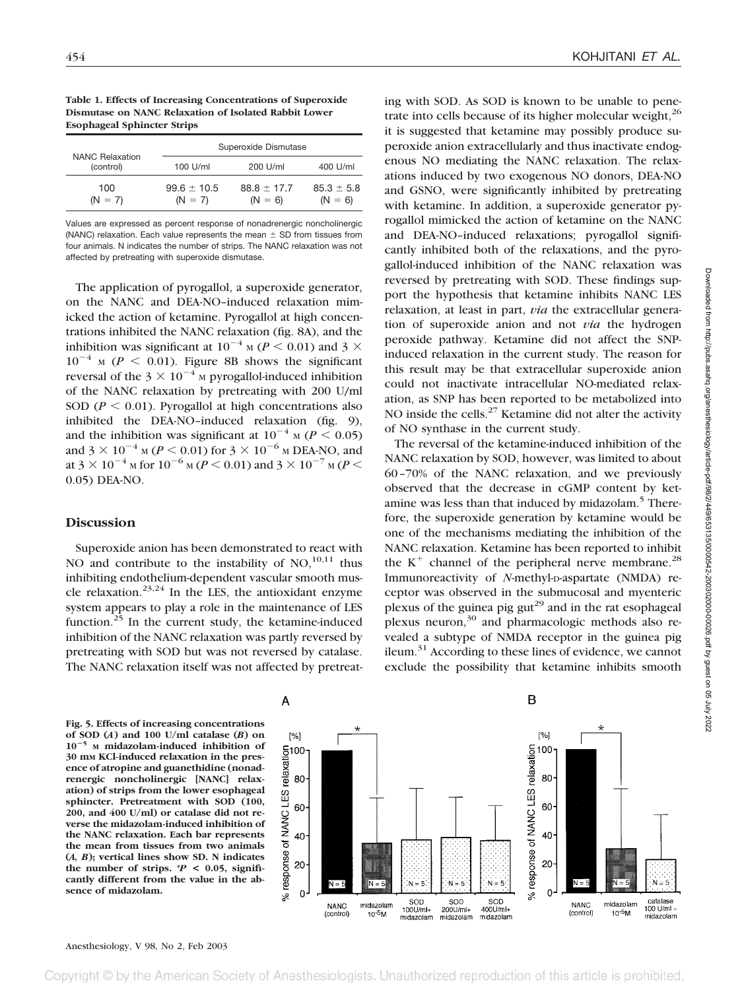**Table 1. Effects of Increasing Concentrations of Superoxide Dismutase on NANC Relaxation of Isolated Rabbit Lower Esophageal Sphincter Strips**

| <b>NANC Relaxation</b><br>(control) | Superoxide Dismutase         |                              |                             |
|-------------------------------------|------------------------------|------------------------------|-----------------------------|
|                                     | 100 U/ml                     | 200 U/ml                     | 400 U/ml                    |
| 100<br>$(N = 7)$                    | $99.6 \pm 10.5$<br>$(N = 7)$ | $88.8 \pm 17.7$<br>$(N = 6)$ | $85.3 \pm 5.8$<br>$(N = 6)$ |

Values are expressed as percent response of nonadrenergic noncholinergic (NANC) relaxation. Each value represents the mean  $\pm$  SD from tissues from four animals. N indicates the number of strips. The NANC relaxation was not affected by pretreating with superoxide dismutase.

The application of pyrogallol, a superoxide generator, on the NANC and DEA-NO–induced relaxation mimicked the action of ketamine. Pyrogallol at high concentrations inhibited the NANC relaxation (fig. 8A), and the inhibition was significant at  $10^{-4}$  M (*P* < 0.01) and 3  $\times$  $10^{-4}$  M ( $P \le 0.01$ ). Figure 8B shows the significant reversal of the  $3 \times 10^{-4}$  M pyrogallol-induced inhibition of the NANC relaxation by pretreating with 200 U/ml SOD ( $P \le 0.01$ ). Pyrogallol at high concentrations also inhibited the DEA-NO–induced relaxation (fig. 9), and the inhibition was significant at  $10^{-4}$  M ( $P < 0.05$ ) and  $3 \times 10^{-4}$  M (*P* < 0.01) for  $3 \times 10^{-6}$  M DEA-NO, and at 3  $\times$  10<sup>-4</sup> M for 10<sup>-6</sup> M (*P* < 0.01) and 3  $\times$  10<sup>-7</sup> M (*P* < 0.05) DEA-NO.

## **Discussion**

Superoxide anion has been demonstrated to react with NO and contribute to the instability of  $NO$ ,<sup>10,11</sup> thus inhibiting endothelium-dependent vascular smooth muscle relaxation. $23,24$  In the LES, the antioxidant enzyme system appears to play a role in the maintenance of LES function. $25$  In the current study, the ketamine-induced inhibition of the NANC relaxation was partly reversed by pretreating with SOD but was not reversed by catalase. The NANC relaxation itself was not affected by pretreating with SOD. As SOD is known to be unable to penetrate into cells because of its higher molecular weight,<sup>26</sup> it is suggested that ketamine may possibly produce superoxide anion extracellularly and thus inactivate endogenous NO mediating the NANC relaxation. The relaxations induced by two exogenous NO donors, DEA-NO and GSNO, were significantly inhibited by pretreating with ketamine. In addition, a superoxide generator pyrogallol mimicked the action of ketamine on the NANC and DEA-NO–induced relaxations; pyrogallol significantly inhibited both of the relaxations, and the pyrogallol-induced inhibition of the NANC relaxation was reversed by pretreating with SOD. These findings support the hypothesis that ketamine inhibits NANC LES relaxation, at least in part, *via* the extracellular generation of superoxide anion and not *via* the hydrogen peroxide pathway. Ketamine did not affect the SNPinduced relaxation in the current study. The reason for this result may be that extracellular superoxide anion could not inactivate intracellular NO-mediated relaxation, as SNP has been reported to be metabolized into NO inside the cells. $27$  Ketamine did not alter the activity of NO synthase in the current study.

The reversal of the ketamine-induced inhibition of the NANC relaxation by SOD, however, was limited to about 60–70% of the NANC relaxation, and we previously observed that the decrease in cGMP content by ketamine was less than that induced by midazolam.<sup>5</sup> Therefore, the superoxide generation by ketamine would be one of the mechanisms mediating the inhibition of the NANC relaxation. Ketamine has been reported to inhibit the  $K^+$  channel of the peripheral nerve membrane.<sup>28</sup> Immunoreactivity of *N*-methyl-D-aspartate (NMDA) receptor was observed in the submucosal and myenteric plexus of the guinea pig gut<sup>29</sup> and in the rat esophageal plexus neuron, $30$  and pharmacologic methods also revealed a subtype of NMDA receptor in the guinea pig ileum. $31$  According to these lines of evidence, we cannot exclude the possibility that ketamine inhibits smooth

**Fig. 5. Effects of increasing concentrations of SOD (***A***) and 100 U/ml catalase (***B***) on 10**-**<sup>5</sup> <sup>M</sup> midazolam-induced inhibition of 30 mM KCl-induced relaxation in the presence of atropine and guanethidine (nonadrenergic noncholinergic [NANC] relaxation) of strips from the lower esophageal sphincter. Pretreatment with SOD (100, 200, and 400 U/ml) or catalase did not reverse the midazolam-induced inhibition of the NANC relaxation. Each bar represents the mean from tissues from two animals (***A, B***); vertical lines show SD. N indicates** the number of strips.  $P < 0.05$ , signifi**cantly different from the value in the absence of midazolam.**

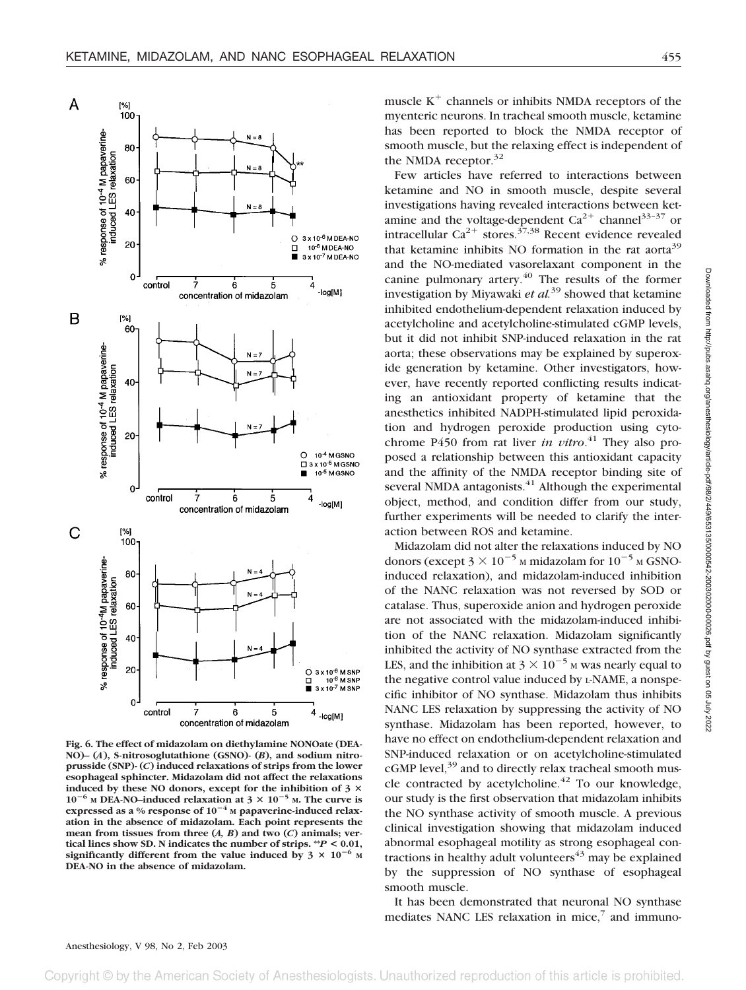

**Fig. 6. The effect of midazolam on diethylamine NONOate (DEA-NO)– (***A***), S-nitrosoglutathione (GSNO)- (***B***), and sodium nitroprusside (SNP)- (***C***) induced relaxations of strips from the lower esophageal sphincter. Midazolam did not affect the relaxations induced by these NO donors, except for the inhibition of 3**  $10^{-6}$  M DEA-NO-induced relaxation at  $3 \times 10^{-5}$  M. The curve is expressed as a % response of  $10^{-4}$  M papaverine-induced relax**ation in the absence of midazolam. Each point represents the mean from tissues from three (***A, B***) and two (***C***) animals; vertical lines show SD. N indicates the number of strips.**  $^{*}P$  **< 0.01,** significantly different from the value induced by  $3 \times 10^{-6}$  M **DEA-NO in the absence of midazolam.**

muscle  $K^+$  channels or inhibits NMDA receptors of the myenteric neurons. In tracheal smooth muscle, ketamine has been reported to block the NMDA receptor of smooth muscle, but the relaxing effect is independent of the NMDA receptor. $32$ 

Few articles have referred to interactions between ketamine and NO in smooth muscle, despite several investigations having revealed interactions between ketamine and the voltage-dependent  $Ca^{2+}$  channel<sup>33–37</sup> or intracellular  $Ca^{2+}$  stores.<sup>37,38</sup> Recent evidence revealed that ketamine inhibits NO formation in the rat aorta<sup>39</sup> and the NO-mediated vasorelaxant component in the canine pulmonary artery.<sup>40</sup> The results of the former investigation by Miyawaki *et al.*<sup>39</sup> showed that ketamine inhibited endothelium-dependent relaxation induced by acetylcholine and acetylcholine-stimulated cGMP levels, but it did not inhibit SNP-induced relaxation in the rat aorta; these observations may be explained by superoxide generation by ketamine. Other investigators, however, have recently reported conflicting results indicating an antioxidant property of ketamine that the anesthetics inhibited NADPH-stimulated lipid peroxidation and hydrogen peroxide production using cytochrome P450 from rat liver *in vitro*. <sup>41</sup> They also proposed a relationship between this antioxidant capacity and the affinity of the NMDA receptor binding site of several NMDA antagonists.<sup>41</sup> Although the experimental object, method, and condition differ from our study, further experiments will be needed to clarify the interaction between ROS and ketamine.

Midazolam did not alter the relaxations induced by NO donors (except  $3 \times 10^{-5}$  M midazolam for  $10^{-5}$  M GSNOinduced relaxation), and midazolam-induced inhibition of the NANC relaxation was not reversed by SOD or catalase. Thus, superoxide anion and hydrogen peroxide are not associated with the midazolam-induced inhibition of the NANC relaxation. Midazolam significantly inhibited the activity of NO synthase extracted from the LES, and the inhibition at  $3 \times 10^{-5}$  M was nearly equal to the negative control value induced by L-NAME, a nonspecific inhibitor of NO synthase. Midazolam thus inhibits NANC LES relaxation by suppressing the activity of NO synthase. Midazolam has been reported, however, to have no effect on endothelium-dependent relaxation and SNP-induced relaxation or on acetylcholine-stimulated cGMP level,<sup>39</sup> and to directly relax tracheal smooth muscle contracted by acetylcholine. $42$  To our knowledge, our study is the first observation that midazolam inhibits the NO synthase activity of smooth muscle. A previous clinical investigation showing that midazolam induced abnormal esophageal motility as strong esophageal contractions in healthy adult volunteers $43$  may be explained by the suppression of NO synthase of esophageal smooth muscle.

It has been demonstrated that neuronal NO synthase mediates NANC LES relaxation in mice, $\frac{7}{7}$  and immuno-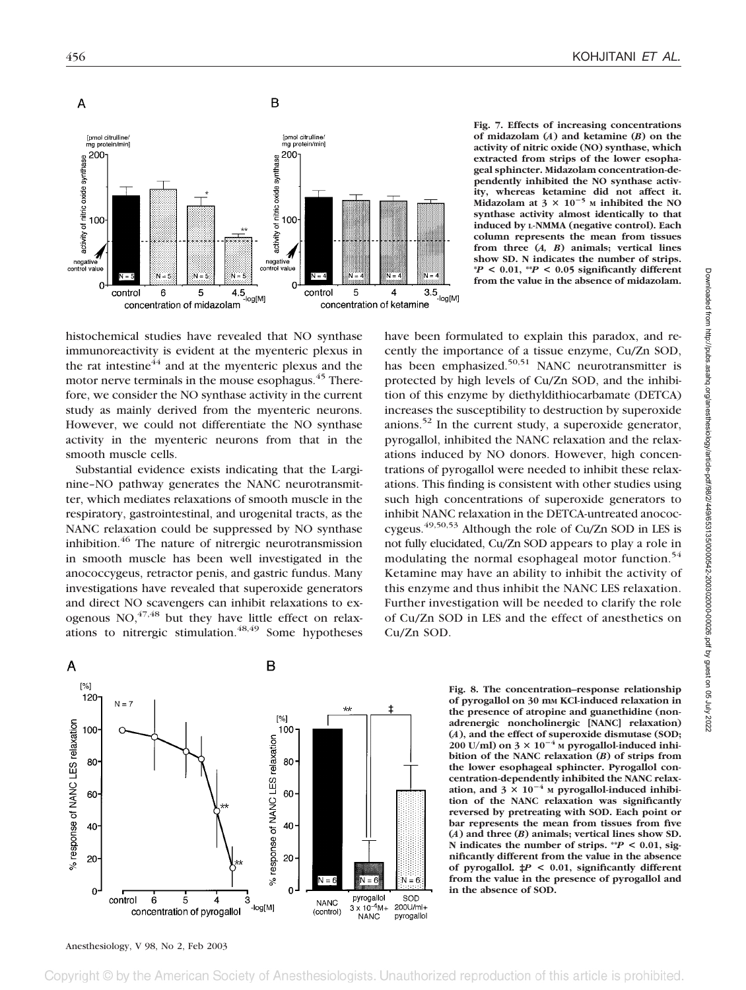

**Fig. 7. Effects of increasing concentrations of midazolam (***A***) and ketamine (***B***) on the activity of nitric oxide (NO) synthase, which extracted from strips of the lower esophageal sphincter. Midazolam concentration-dependently inhibited the NO synthase activity, whereas ketamine did not affect it. Midazolam at 3 10**-**<sup>5</sup> <sup>M</sup> inhibited the NO synthase activity almost identically to that induced by L-NMMA (negative control). Each column represents the mean from tissues from three (***A, B***) animals; vertical lines show SD. N indicates the number of strips. \****P* **< 0.01, \*\****P* **< 0.05 significantly different from the value in the absence of midazolam.**

histochemical studies have revealed that NO synthase immunoreactivity is evident at the myenteric plexus in the rat intestine $44$  and at the myenteric plexus and the motor nerve terminals in the mouse esophagus.<sup>45</sup> Therefore, we consider the NO synthase activity in the current study as mainly derived from the myenteric neurons. However, we could not differentiate the NO synthase activity in the myenteric neurons from that in the smooth muscle cells.

Substantial evidence exists indicating that the L-arginine–NO pathway generates the NANC neurotransmitter, which mediates relaxations of smooth muscle in the respiratory, gastrointestinal, and urogenital tracts, as the NANC relaxation could be suppressed by NO synthase inhibition.46 The nature of nitrergic neurotransmission in smooth muscle has been well investigated in the anococcygeus, retractor penis, and gastric fundus. Many investigations have revealed that superoxide generators and direct NO scavengers can inhibit relaxations to exogenous  $NO<sub>, 47,48</sub>$  but they have little effect on relaxations to nitrergic stimulation. $48,49$  Some hypotheses

have been formulated to explain this paradox, and recently the importance of a tissue enzyme, Cu/Zn SOD, has been emphasized.<sup>50,51</sup> NANC neurotransmitter is protected by high levels of Cu/Zn SOD, and the inhibition of this enzyme by diethyldithiocarbamate (DETCA) increases the susceptibility to destruction by superoxide anions.<sup>52</sup> In the current study, a superoxide generator, pyrogallol, inhibited the NANC relaxation and the relaxations induced by NO donors. However, high concentrations of pyrogallol were needed to inhibit these relaxations. This finding is consistent with other studies using such high concentrations of superoxide generators to inhibit NANC relaxation in the DETCA-untreated anococcygeus.49,50,53 Although the role of Cu/Zn SOD in LES is not fully elucidated, Cu/Zn SOD appears to play a role in modulating the normal esophageal motor function.<sup>54</sup> Ketamine may have an ability to inhibit the activity of this enzyme and thus inhibit the NANC LES relaxation. Further investigation will be needed to clarify the role of Cu/Zn SOD in LES and the effect of anesthetics on Cu/Zn SOD.



**Fig. 8. The concentration–response relationship of pyrogallol on 30 mM KCl-induced relaxation in the presence of atropine and guanethidine (nonadrenergic noncholinergic [NANC] relaxation)** (*A*), and the effect of superoxide dismutase (SOD;  $200 \text{ U/ml}$ ) on  $3 \times 10^{-4}$  M pyrogallol-induced inhi**bition of the NANC relaxation (***B***) of strips from the lower esophageal sphincter. Pyrogallol concentration-dependently inhibited the NANC relax**ation, and  $3 \times 10^{-4}$  M pyrogallol-induced inhibi**tion of the NANC relaxation was significantly reversed by pretreating with SOD. Each point or bar represents the mean from tissues from five (***A***) and three (***B***) animals; vertical lines show SD. N indicates the number of strips. \*\****P* **< 0.01, significantly different from the value in the absence of pyrogallol. ‡***P* **< 0.01, significantly different from the value in the presence of pyrogallol and in the absence of SOD.**

## Anesthesiology, V 98, No 2, Feb 2003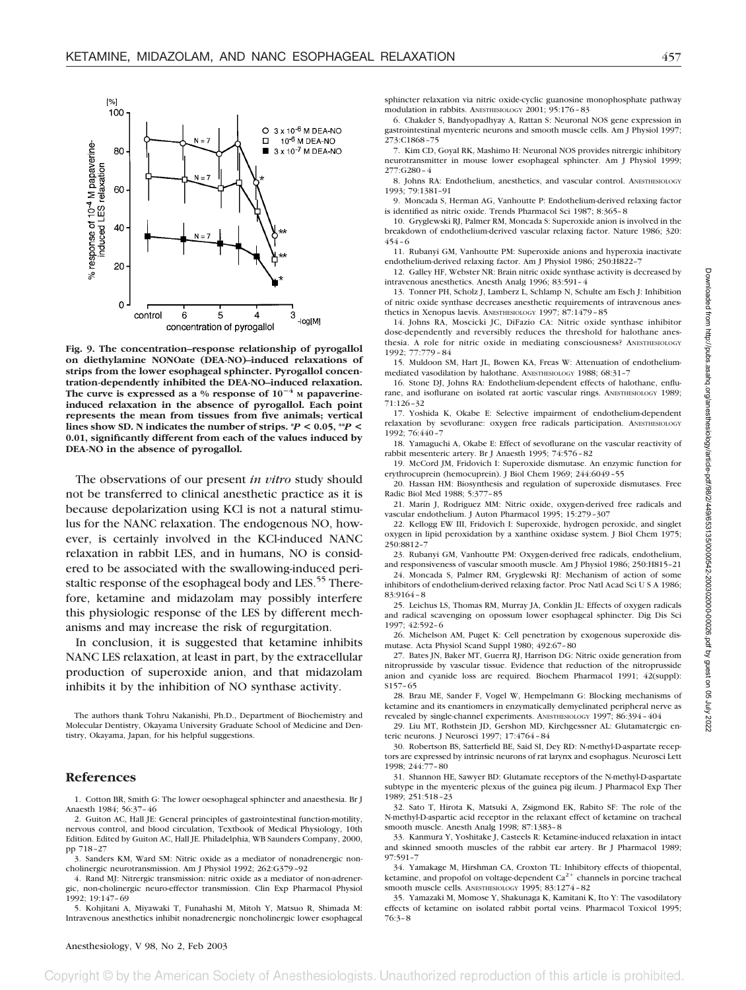

**Fig. 9. The concentration–response relationship of pyrogallol on diethylamine NONOate (DEA-NO)–induced relaxations of strips from the lower esophageal sphincter. Pyrogallol concentration-dependently inhibited the DEA-NO–induced relaxation.** The curve is expressed as a % response of  $10^{-4}$  M papaverine**induced relaxation in the absence of pyrogallol. Each point represents the mean from tissues from five animals; vertical** lines show SD. N indicates the number of strips.  $*P < 0.05$ ,  $*P <$ **0.01, significantly different from each of the values induced by DEA-NO in the absence of pyrogallol.**

The observations of our present *in vitro* study should not be transferred to clinical anesthetic practice as it is because depolarization using KCl is not a natural stimulus for the NANC relaxation. The endogenous NO, however, is certainly involved in the KCl-induced NANC relaxation in rabbit LES, and in humans, NO is considered to be associated with the swallowing-induced peristaltic response of the esophageal body and LES.<sup>55</sup> Therefore, ketamine and midazolam may possibly interfere this physiologic response of the LES by different mechanisms and may increase the risk of regurgitation.

In conclusion, it is suggested that ketamine inhibits NANC LES relaxation, at least in part, by the extracellular production of superoxide anion, and that midazolam inhibits it by the inhibition of NO synthase activity.

The authors thank Tohru Nakanishi, Ph.D., Department of Biochemistry and Molecular Dentistry, Okayama University Graduate School of Medicine and Dentistry, Okayama, Japan, for his helpful suggestions.

#### **References**

1. Cotton BR, Smith G: The lower oesophageal sphincter and anaesthesia. Br J Anaesth 1984; 56:37–46

2. Guiton AC, Hall JE: General principles of gastrointestinal function-motility, nervous control, and blood circulation, Textbook of Medical Physiology, 10th Edition. Edited by Guiton AC, Hall JE. Philadelphia, WB Saunders Company, 2000, pp 718–27

3. Sanders KM, Ward SM: Nitric oxide as a mediator of nonadrenergic noncholinergic neurotransmission. Am J Physiol 1992; 262:G379–92

4. Rand MJ: Nitrergic transmission: nitric oxide as a mediator of non-adrenergic, non-cholinergic neuro-effector transmission. Clin Exp Pharmacol Physiol 1992; 19:147–69

5. Kohjitani A, Miyawaki T, Funahashi M, Mitoh Y, Matsuo R, Shimada M: Intravenous anesthetics inhibit nonadrenergic noncholinergic lower esophageal

sphincter relaxation via nitric oxide-cyclic guanosine monophosphate pathway modulation in rabbits. ANESTHESIOLOGY 2001; 95:176–83

6. Chakder S, Bandyopadhyay A, Rattan S: Neuronal NOS gene expression in gastrointestinal myenteric neurons and smooth muscle cells. Am J Physiol 1997; 273:C1868–75

7. Kim CD, Goyal RK, Mashimo H: Neuronal NOS provides nitrergic inhibitory neurotransmitter in mouse lower esophageal sphincter. Am J Physiol 1999; 277:G280–4

8. Johns RA: Endothelium, anesthetics, and vascular control. ANESTHESIOLOGY 1993; 79:1381–91

9. Moncada S, Herman AG, Vanhoutte P: Endothelium-derived relaxing factor is identified as nitric oxide. Trends Pharmacol Sci 1987; 8:365–8

10. Gryglewski RJ, Palmer RM, Moncada S: Superoxide anion is involved in the breakdown of endothelium-derived vascular relaxing factor. Nature 1986; 320: 454–6

11. Rubanyi GM, Vanhoutte PM: Superoxide anions and hyperoxia inactivate endothelium-derived relaxing factor. Am J Physiol 1986; 250:H822–7

12. Galley HF, Webster NR: Brain nitric oxide synthase activity is decreased by intravenous anesthetics. Anesth Analg 1996; 83:591–4

13. Tonner PH, Scholz J, Lamberz L, Schlamp N, Schulte am Esch J: Inhibition of nitric oxide synthase decreases anesthetic requirements of intravenous anesthetics in Xenopus laevis. ANESTHESIOLOGY 1997; 87:1479–85

14. Johns RA, Moscicki JC, DiFazio CA: Nitric oxide synthase inhibitor dose-dependently and reversibly reduces the threshold for halothane anesthesia. A role for nitric oxide in mediating consciousness? ANESTHESIOLOGY 1992; 77:779 – 84

15. Muldoon SM, Hart JL, Bowen KA, Freas W: Attenuation of endotheliummediated vasodilation by halothane. ANESTHESIOLOGY 1988; 68:31-7

16. Stone DJ, Johns RA: Endothelium-dependent effects of halothane, enflurane, and isoflurane on isolated rat aortic vascular rings. ANESTHESIOLOGY 1989; 71:126–32

17. Yoshida K, Okabe E: Selective impairment of endothelium-dependent relaxation by sevoflurane: oxygen free radicals participation. ANESTHESIOLOGY 1992; 76:440–7

18. Yamaguchi A, Okabe E: Effect of sevoflurane on the vascular reactivity of rabbit mesenteric artery. Br J Anaesth 1995; 74:576–82

19. McCord JM, Fridovich I: Superoxide dismutase. An enzymic function for erythrocuprein (hemocuprein). J Biol Chem 1969; 244:6049–55

20. Hassan HM: Biosynthesis and regulation of superoxide dismutases. Free Radic Biol Med 1988; 5:377–85

21. Marin J, Rodriguez MM: Nitric oxide, oxygen-derived free radicals and vascular endothelium. J Auton Pharmacol 1995; 15:279–307

22. Kellogg EW III, Fridovich I: Superoxide, hydrogen peroxide, and singlet oxygen in lipid peroxidation by a xanthine oxidase system. J Biol Chem 1975; 250:8812–7

23. Rubanyi GM, Vanhoutte PM: Oxygen-derived free radicals, endothelium, and responsiveness of vascular smooth muscle. Am J Physiol 1986; 250:H815–21

24. Moncada S, Palmer RM, Gryglewski RJ: Mechanism of action of some inhibitors of endothelium-derived relaxing factor. Proc Natl Acad Sci U S A 1986; 83:9164–8

25. Leichus LS, Thomas RM, Murray JA, Conklin JL: Effects of oxygen radicals and radical scavenging on opossum lower esophageal sphincter. Dig Dis Sci 1997; 42:592–6

26. Michelson AM, Puget K: Cell penetration by exogenous superoxide dismutase. Acta Physiol Scand Suppl 1980; 492:67–80

27. Bates JN, Baker MT, Guerra RJ, Harrison DG: Nitric oxide generation from nitroprusside by vascular tissue. Evidence that reduction of the nitroprusside anion and cyanide loss are required. Biochem Pharmacol 1991; 42(suppl): S157–65

28. Brau ME, Sander F, Vogel W, Hempelmann G: Blocking mechanisms of ketamine and its enantiomers in enzymatically demyelinated peripheral nerve as revealed by single-channel experiments. ANESTHESIOLOGY 1997; 86:394–404

29. Liu MT, Rothstein JD, Gershon MD, Kirchgessner AL: Glutamatergic enteric neurons. J Neurosci 1997; 17:4764–84

30. Robertson BS, Satterfield BE, Said SI, Dey RD: N-methyl-D-aspartate receptors are expressed by intrinsic neurons of rat larynx and esophagus. Neurosci Lett 1998; 244:77–80

31. Shannon HE, Sawyer BD: Glutamate receptors of the N-methyl-D-aspartate subtype in the myenteric plexus of the guinea pig ileum. J Pharmacol Exp Ther 1989; 251:518–23

32. Sato T, Hirota K, Matsuki A, Zsigmond EK, Rabito SF: The role of the N-methyl-D-aspartic acid receptor in the relaxant effect of ketamine on tracheal smooth muscle. Anesth Analg 1998; 87:1383–8

33. Kanmura Y, Yoshitake J, Casteels R: Ketamine-induced relaxation in intact and skinned smooth muscles of the rabbit ear artery. Br J Pharmacol 1989; 97:591–7

34. Yamakage M, Hirshman CA, Croxton TL: Inhibitory effects of thiopental, ketamine, and propofol on voltage-dependent  $Ca^{2+}$  channels in porcine tracheal smooth muscle cells. ANESTHESIOLOGY 1995; 83:1274–82

35. Yamazaki M, Momose Y, Shakunaga K, Kamitani K, Ito Y: The vasodilatory effects of ketamine on isolated rabbit portal veins. Pharmacol Toxicol 1995; 76:3–8